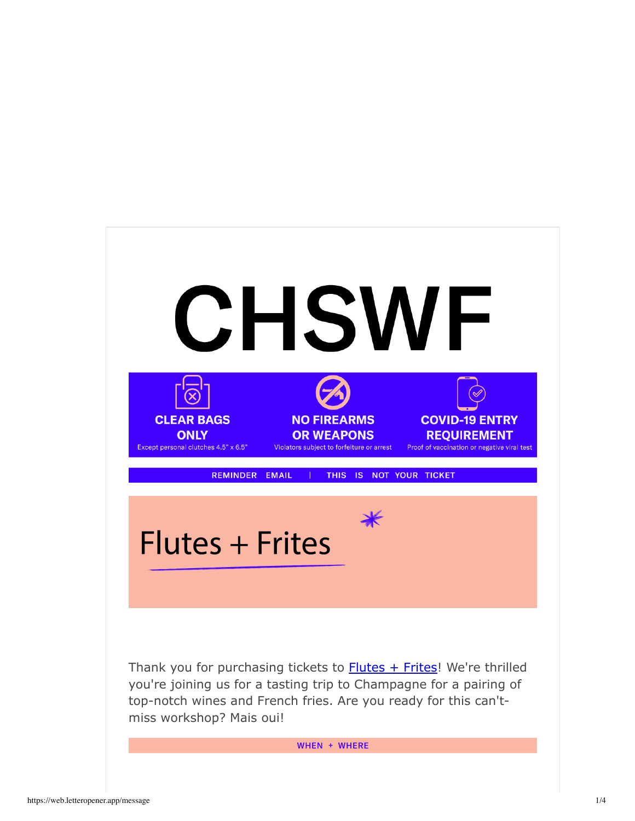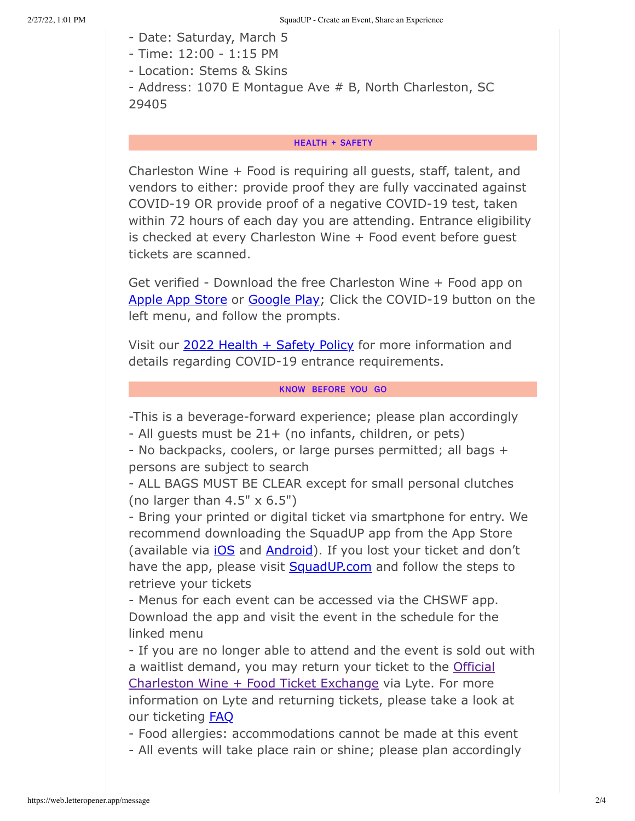- Date: Saturday, March 5
- Time: 12:00 1:15 PM
- Location: Stems & Skins

```
- Address: 1070 E Montague Ave # B, North Charleston, SC
29405
```
## **HEALTH + SAFETY**

Charleston Wine + Food is requiring all guests, staff, talent, and vendors to either: provide proof they are fully vaccinated against COVID-19 OR provide proof of a negative COVID-19 test, taken within 72 hours of each day you are attending. Entrance eligibility is checked at every Charleston Wine + Food event before quest tickets are scanned.

Get verified - Download the free Charleston Wine + Food app on Apple App Store or Google Play; Click the COVID-19 button on the left menu, and follow the prompts.

Visit our 2022 Health + Safety Policy for more information and details regarding COVID-19 entrance requirements.

# KNOW BEFORE YOU GO

-This is a beverage-forward experience; please plan accordingly

- All guests must be 21+ (no infants, children, or pets)

- No backpacks, coolers, or large purses permitted; all bags + persons are subject to search

- ALL BAGS MUST BE CLEAR except for small personal clutches (no larger than  $4.5" \times 6.5"$ )

- Bring your printed or digital ticket via smartphone for entry. We recommend downloading the SquadUP app from the App Store (available via *iOS* and **Android**). If you lost your ticket and don't have the app, please visit SquadUP.com and follow the steps to retrieve your tickets

- Menus for each event can be accessed via the CHSWF app. Download the app and visit the event in the schedule for the linked menu

- If you are no longer able to attend and the event is sold out with a waitlist demand, you may return your ticket to the Official Charleston Wine + Food Ticket Exchange via Lyte. For more information on Lyte and returning tickets, please take a look at our ticketing **FAQ** 

- Food allergies: accommodations cannot be made at this event

- All events will take place rain or shine; please plan accordingly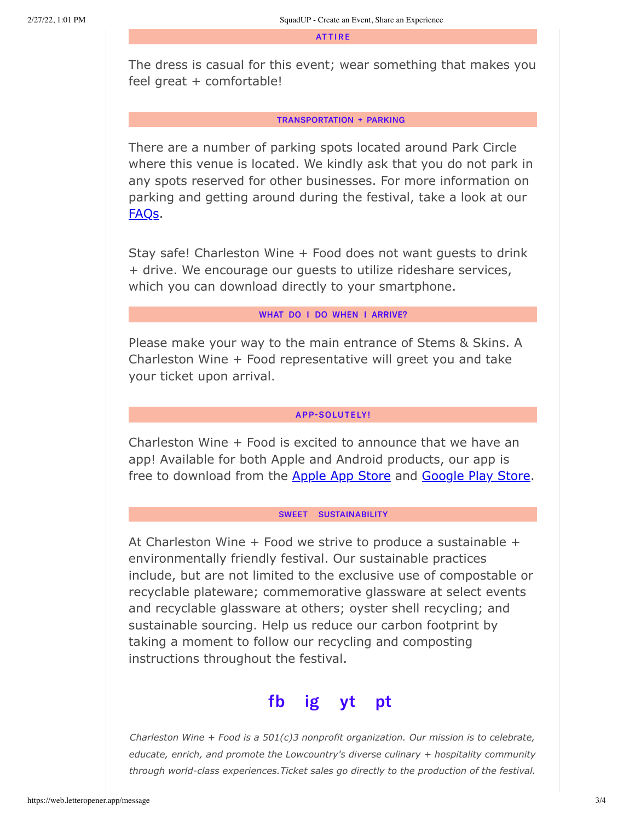**ATTIRE** 

The dress is casual for this event; wear something that makes you feel great + comfortable!

#### **TRANSPORTATION + PARKING**

There are a number of parking spots located around Park Circle where this venue is located. We kindly ask that you do not park in any spots reserved for other businesses. For more information on parking and getting around during the festival, take a look at our FAQs.

Stay safe! Charleston Wine + Food does not want guests to drink + drive. We encourage our guests to utilize rideshare services, which you can download directly to your smartphone.

## WHAT DO I DO WHEN I ARRIVE?

Please make your way to the main entrance of Stems & Skins. A Charleston Wine + Food representative will greet you and take your ticket upon arrival.

### **APP-SOLUTELY!**

Charleston Wine + Food is excited to announce that we have an app! Available for both Apple and Android products, our app is free to download from the Apple App Store and Google Play Store.

#### SWEET SUSTAINABILITY

At Charleston Wine + Food we strive to produce a sustainable + environmentally friendly festival. Our sustainable practices include, but are not limited to the exclusive use of compostable or recyclable plateware; commemorative glassware at select events and recyclable glassware at others; oyster shell recycling; and sustainable sourcing. Help us reduce our carbon footprint by taking a moment to follow our recycling and composting instructions throughout the festival.



*Charleston Wine + Food is a 501(c)3 nonprofit organization. Our mission is to celebrate, educate, enrich, and promote the Lowcountry's diverse culinary + hospitality community through world-class experiences.Ticket sales go directly to the production of the festival.*